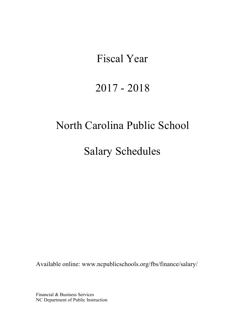# Fiscal Year

# 2017 - 2018

# North Carolina Public School

Salary Schedules

Available online: [www.ncpublicschools.org/fbs/finance/salary/](http://www.ncpublicschools.org/fbs/finance/salary/)

Financial & Business Services NC Department of Public Instruction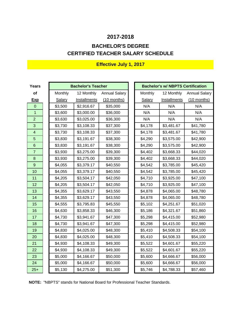# **CERTIFIED TEACHER SALARY SCHEDULE BACHELOR'S DEGREE**

| Years           |         | <b>Bachelor's Teacher</b> |                      |                | <b>Bachelor's w/ NBPTS Certification</b> |                      |
|-----------------|---------|---------------------------|----------------------|----------------|------------------------------------------|----------------------|
| of              | Monthly | 12 Monthly                | <b>Annual Salary</b> | <b>Monthly</b> | 12 Monthly                               | <b>Annual Salary</b> |
| <b>Exp</b>      | Salary  | Installments              | $(10$ months)        | Salary         | Installments                             | $(10$ months)        |
| $\overline{0}$  | \$3,500 | \$2,916.67                | \$35,000             | N/A            | N/A                                      | N/A                  |
| 1               | \$3,600 | \$3,000.00                | \$36,000             | N/A            | N/A                                      | N/A                  |
| $\overline{2}$  | \$3,630 | \$3,025.00                | \$36,300             | N/A            | N/A                                      | N/A                  |
| 3               | \$3,730 | \$3,108.33                | \$37,300             | \$4,178        | \$3,481.67                               | \$41,780             |
| $\overline{4}$  | \$3,730 | \$3,108.33                | \$37,300             | \$4,178        | \$3,481.67                               | \$41,780             |
| 5               | \$3,830 | \$3,191.67                | \$38,300             | \$4,290        | \$3,575.00                               | \$42,900             |
| $6\phantom{1}6$ | \$3,830 | \$3,191.67                | \$38,300             | \$4,290        | \$3,575.00                               | \$42,900             |
| $\overline{7}$  | \$3,930 | \$3,275.00                | \$39,300             | \$4,402        | \$3,668.33                               | \$44,020             |
| 8               | \$3,930 | \$3,275.00                | \$39,300             | \$4,402        | \$3,668.33                               | \$44,020             |
| 9               | \$4,055 | \$3,379.17                | \$40,550             | \$4,542        | \$3,785.00                               | \$45,420             |
| 10              | \$4,055 | \$3,379.17                | \$40,550             | \$4,542        | \$3,785.00                               | \$45,420             |
| 11              | \$4,205 | \$3,504.17                | \$42,050             | \$4,710        | \$3,925.00                               | \$47,100             |
| 12              | \$4,205 | \$3,504.17                | \$42,050             | \$4,710        | \$3,925.00                               | \$47,100             |
| 13              | \$4,355 | \$3,629.17                | \$43,550             | \$4,878        | \$4,065.00                               | \$48,780             |
| 14              | \$4,355 | \$3,629.17                | \$43,550             | \$4,878        | \$4,065.00                               | \$48,780             |
| 15              | \$4,555 | \$3,795.83                | \$45,550             | \$5,102        | \$4,251.67                               | \$51,020             |
| 16              | \$4,630 | \$3,858.33                | \$46,300             | \$5,186        | \$4,321.67                               | \$51,860             |
| 17              | \$4,730 | \$3,941.67                | \$47,300             | \$5,298        | \$4,415.00                               | \$52,980             |
| 18              | \$4,730 | \$3,941.67                | \$47,300             | \$5,298        | \$4,415.00                               | \$52,980             |
| 19              | \$4,830 | \$4,025.00                | \$48,300             | \$5,410        | \$4,508.33                               | \$54,100             |
| 20              | \$4,830 | \$4,025.00                | \$48,300             | \$5,410        | \$4,508.33                               | \$54,100             |
| 21              | \$4,930 | \$4,108.33                | \$49,300             | \$5,522        | \$4,601.67                               | \$55,220             |
| 22              | \$4,930 | \$4,108.33                | \$49,300             | \$5,522        | \$4,601.67                               | \$55,220             |
| 23              | \$5,000 | \$4,166.67                | \$50,000             | \$5,600        | \$4,666.67                               | \$56,000             |
| 24              | \$5,000 | \$4,166.67                | \$50,000             | \$5,600        | \$4,666.67                               | \$56,000             |
| $25+$           | \$5,130 | \$4,275.00                | \$51,300             | \$5,746        | \$4,788.33                               | \$57,460             |

## **Effective July 1, 2017**

**NOTE:** "NBPTS" stands for National Board for Professional Teacher Standards.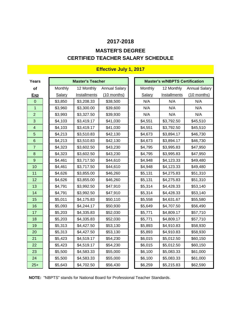# **CERTIFIED TEACHER SALARY SCHEDULE MASTER'S DEGREE**

| Years                   |         | <b>Master's Teacher</b> |                      |               | <b>Master's w/NBPTS Certification</b> |                      |
|-------------------------|---------|-------------------------|----------------------|---------------|---------------------------------------|----------------------|
| of                      | Monthly | 12 Monthly              | <b>Annual Salary</b> | Monthly       | 12 Monthly                            | <b>Annual Salary</b> |
| <b>Exp</b>              | Salary  | Installments            | $(10$ months)        | <b>Salary</b> | Installments                          | $(10$ months)        |
| $\overline{0}$          | \$3,850 | \$3,208.33              | \$38,500             | N/A           | N/A                                   | N/A                  |
| $\mathbf{1}$            | \$3,960 | \$3,300.00              | \$39,600             | N/A           | N/A                                   | N/A                  |
| $\overline{2}$          | \$3,993 | \$3,327.50              | \$39,930             | N/A           | N/A                                   | N/A                  |
| 3                       | \$4,103 | \$3,419.17              | \$41,030             | \$4,551       | \$3,792.50                            | \$45,510             |
| $\overline{\mathbf{4}}$ | \$4,103 | \$3,419.17              | \$41,030             | \$4,551       | \$3,792.50                            | \$45,510             |
| 5                       | \$4,213 | \$3,510.83              | \$42,130             | \$4,673       | \$3,894.17                            | \$46,730             |
| $6\phantom{1}6$         | \$4,213 | \$3,510.83              | \$42,130             | \$4,673       | \$3,894.17                            | \$46,730             |
| $\overline{7}$          | \$4,323 | \$3,602.50              | \$43,230             | \$4,795       | \$3,995.83                            | \$47,950             |
| $\bf 8$                 | \$4,323 | \$3,602.50              | \$43,230             | \$4,795       | \$3,995.83                            | \$47,950             |
| $\overline{9}$          | \$4,461 | \$3,717.50              | \$44,610             | \$4,948       | \$4,123.33                            | \$49,480             |
| 10                      | \$4,461 | \$3,717.50              | \$44,610             | \$4,948       | \$4,123.33                            | \$49,480             |
| 11                      | \$4,626 | \$3,855.00              | \$46,260             | \$5,131       | \$4,275.83                            | \$51,310             |
| 12                      | \$4,626 | \$3,855.00              | \$46,260             | \$5,131       | \$4,275.83                            | \$51,310             |
| 13                      | \$4,791 | \$3,992.50              | \$47,910             | \$5,314       | \$4,428.33                            | \$53,140             |
| 14                      | \$4,791 | \$3,992.50              | \$47,910             | \$5,314       | \$4,428.33                            | \$53,140             |
| 15                      | \$5,011 | \$4,175.83              | \$50,110             | \$5,558       | \$4,631.67                            | \$55,580             |
| 16                      | \$5,093 | \$4,244.17              | \$50,930             | \$5,649       | \$4,707.50                            | \$56,490             |
| 17                      | \$5,203 | \$4,335.83              | \$52,030             | \$5,771       | \$4,809.17                            | \$57,710             |
| 18                      | \$5,203 | \$4,335.83              | \$52,030             | \$5,771       | \$4,809.17                            | \$57,710             |
| 19                      | \$5,313 | \$4,427.50              | \$53,130             | \$5,893       | \$4,910.83                            | \$58,930             |
| 20                      | \$5,313 | \$4,427.50              | \$53,130             | \$5,893       | \$4,910.83                            | \$58,930             |
| 21                      | \$5,423 | \$4,519.17              | \$54,230             | \$6,015       | \$5,012.50                            | \$60,150             |
| 22                      | \$5,423 | \$4,519.17              | \$54,230             | \$6,015       | \$5,012.50                            | \$60,150             |
| 23                      | \$5,500 | \$4,583.33              | \$55,000             | \$6,100       | \$5,083.33                            | \$61,000             |
| 24                      | \$5,500 | \$4,583.33              | \$55,000             | \$6,100       | \$5,083.33                            | \$61,000             |
| $25+$                   | \$5,643 | \$4,702.50              | \$56,430             | \$6,259       | \$5,215.83                            | \$62,590             |

## **Effective July 1, 2017**

**NOTE:** "NBPTS" stands for National Board for Professional Teacher Standards.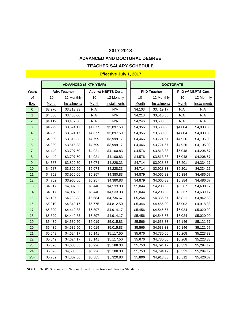## **ADVANCED AND DOCTORAL DEGREE**

#### **TEACHER SALARY SCHEDULE**

### **ADVANCED (SIXTH YEAR) <b>DOCTORATE Years Adv. Teacher Adv. w/ NBPTS Cert. PhD Teacher PhD w/ NBPTS Cert. of |** 10 12 Monthly | 10 12 Monthly || 10 12 Monthly || 10 12 Monthly **<u>Exp | Month Installments | Month Installments | Month Installments | Month Installments</u>** <mark>0 || \$3,976 | \$3,313.33 || N/A || N/A || \$4,103 | \$3,419.17 || N/A || N/A</mark> <mark>1 |</mark> \$4,086 | \$3,405.00 | N/A | N/A | | \$4,213 | \$3,510.83 | N/A | N/A 2 || \$4,119 | \$3,432.50 || N/A || N/A || \$4,246 | \$3,538.33 || N/A || N/A **3 || \$**4,229 | \$3,524.17 | \$4,677 | \$3,897.50 || \$4,356 | \$3,630.00 | \$4,804 | \$4,003.33 4 || \$4,229 | \$3,524.17 | \$4,677 | \$3,897.50 || \$4,356 | \$3,630.00 | \$4,804 | \$4,003.33 <mark>5 |</mark> \$4,339 | \$3,615.83 | \$4,799 | \$3,999.17 | | \$4,466 | \$3,721.67 | \$4,926 | \$4,105.00 6 || \$4,339 | \$3,615.83 || \$4,799 | \$3,999.17 || \$4,466 | \$3,721.67 || \$4,926 || \$4,105.00 <mark>7 |</mark> \$4,449 | \$3,707.50 | \$4,921 | \$4,100.83 | | \$4,576 | \$3,813.33 | \$5,048 | \$4,206.67 8 || \$4,449 | \$3,707.50 | \$4,921 | \$4,100.83 || \$4,576 | \$3,813.33 | \$5,048 | \$4,206.67 9 || \$4,587 | \$3,822.50 | \$5,074 | \$4,228.33 || \$4,714 | \$3,928.33 | \$5,201 | \$4,334.17 10 || \$4,587 | \$3,822.50 | \$5,074 | \$4,228.33 || \$4,714 | \$3,928.33 | \$5,201 | \$4,334.17 11 || \$4,752 | \$3,960.00 | \$5,257 | \$4,380.83 || \$4,879 | \$4,065.83 | \$5,384 | \$4,486.67 12 || \$4,752 | \$3,960.00 | \$5,257 | \$4,380.83 || \$4,879 | \$4,065.83 | \$5,384 | \$4,486.67 13 || \$4,917 | \$4,097.50 | \$5,440 | \$4,533.33 || \$5,044 | \$4,203.33 | \$5,567 | \$4,639.17 14 || \$4,917 | \$4,097.50 | \$5,440 | \$4,533.33 || \$5,044 | \$4,203.33 | \$5,567 | \$4,639.17 15 || \$5,137 | \$4,280.83 | \$5,684 | \$4,736.67 || \$5,264 | \$4,386.67 | \$5,811 | \$4,842.50 16 || \$5,219 | \$4,349.17 | \$5,775 | \$4,812.50 || \$5,346 | \$4,455.00 | \$5,902 | \$4,918.33 17 || \$5,329 | \$4,440.83 | \$5,897 | \$4,914.17 || \$5,456 | \$4,546.67 | \$6,024 | \$5,020.00 18 || \$5,329 | \$4,440.83 || \$5,897 || \$4,914.17 || \$5,456 || \$4,546.67 || \$6,024 || \$5,020.00 19 || \$5,439 | \$4,532.50 | \$6,019 | \$5,015.83 || \$5,566 | \$4,638.33 | \$6,146 | \$5,121.67 20 || \$5,439 | \$4,532.50 | \$6,019 | \$5,015.83 || \$5,566 | \$4,638.33 | \$6,146 | \$5,121.67 21 || \$5,549 | \$4,624.17 || \$6,141 || \$5,117.50 || \$5,676 || \$4,730.00 || \$6,268 || \$5,223.33 22 || \$5,549 | \$4,624.17 | \$6,141 | \$5,117.50 || \$5,676 | \$4,730.00 | \$6,268 | \$5,223.33 23 || \$5,626 | \$4,688.33 | \$6,226 | \$5,188.33 || \$5,753 | \$4,794.17 | \$6,353 | \$5,294.17 24 || \$5,626 | \$4,688.33 | \$6,226 | \$5,188.33 || \$5,753 | \$4,794.17 | \$6,353 | \$5,294.17 2<mark>5+ |</mark> \$5,769 | \$4,807.50 | \$6,385 | \$5,320.83 | | \$5,896 | \$4,913.33 | \$6,512 | \$5,426.67

#### **Effective July 1, 2017**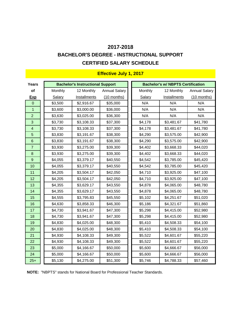# **CERTIFIED SALARY SCHEDULE BACHELOR'S DEGREE - INSTRUCTIONAL SUPPORT**

| Years                   |         | <b>Bachelor's Instructional Support</b> |                      |         | <b>Bachelor's w/ NBPTS Certification</b> |                      |
|-------------------------|---------|-----------------------------------------|----------------------|---------|------------------------------------------|----------------------|
| of                      | Monthly | 12 Monthly                              | <b>Annual Salary</b> | Monthly | 12 Monthly                               | <b>Annual Salary</b> |
| <b>Exp</b>              | Salary  | Installments                            | (10 months)          | Salary  | Installments                             | (10 months)          |
| $\mathbf 0$             | \$3,500 | \$2,916.67                              | \$35,000             | N/A     | N/A                                      | N/A                  |
| $\mathbf{1}$            | \$3,600 | \$3,000.00                              | \$36,000             | N/A     | N/A                                      | N/A                  |
| $\overline{2}$          | \$3,630 | \$3,025.00                              | \$36,300             | N/A     | N/A                                      | N/A                  |
| 3                       | \$3,730 | \$3,108.33                              | \$37,300             | \$4,178 | \$3,481.67                               | \$41,780             |
| $\overline{\mathbf{4}}$ | \$3,730 | \$3,108.33                              | \$37,300             | \$4,178 | \$3,481.67                               | \$41,780             |
| 5                       | \$3,830 | \$3,191.67                              | \$38,300             | \$4,290 | \$3,575.00                               | \$42,900             |
| 6                       | \$3,830 | \$3,191.67                              | \$38,300             | \$4,290 | \$3,575.00                               | \$42,900             |
| $\overline{7}$          | \$3,930 | \$3,275.00                              | \$39,300             | \$4,402 | \$3,668.33                               | \$44,020             |
| 8                       | \$3,930 | \$3,275.00                              | \$39,300             | \$4,402 | \$3,668.33                               | \$44,020             |
| $9$                     | \$4,055 | \$3,379.17                              | \$40,550             | \$4,542 | \$3,785.00                               | \$45,420             |
| 10                      | \$4,055 | \$3,379.17                              | \$40,550             | \$4,542 | \$3,785.00                               | \$45,420             |
| 11                      | \$4,205 | \$3,504.17                              | \$42,050             | \$4,710 | \$3,925.00                               | \$47,100             |
| 12                      | \$4,205 | \$3,504.17                              | \$42,050             | \$4,710 | \$3,925.00                               | \$47,100             |
| 13                      | \$4,355 | \$3,629.17                              | \$43,550             | \$4,878 | \$4,065.00                               | \$48,780             |
| 14                      | \$4,355 | \$3,629.17                              | \$43,550             | \$4,878 | \$4,065.00                               | \$48,780             |
| 15                      | \$4,555 | \$3,795.83                              | \$45,550             | \$5,102 | \$4,251.67                               | \$51,020             |
| 16                      | \$4,630 | \$3,858.33                              | \$46,300             | \$5,186 | \$4,321.67                               | \$51,860             |
| 17                      | \$4,730 | \$3,941.67                              | \$47,300             | \$5,298 | \$4,415.00                               | \$52,980             |
| 18                      | \$4,730 | \$3,941.67                              | \$47,300             | \$5,298 | \$4,415.00                               | \$52,980             |
| 19                      | \$4,830 | \$4,025.00                              | \$48,300             | \$5,410 | \$4,508.33                               | \$54,100             |
| 20                      | \$4,830 | \$4,025.00                              | \$48,300             | \$5,410 | \$4,508.33                               | \$54,100             |
| 21                      | \$4,930 | \$4,108.33                              | \$49,300             | \$5,522 | \$4,601.67                               | \$55,220             |
| 22                      | \$4,930 | \$4,108.33                              | \$49,300             | \$5,522 | \$4,601.67                               | \$55,220             |
| 23                      | \$5,000 | \$4,166.67                              | \$50,000             | \$5,600 | \$4,666.67                               | \$56,000             |
| 24                      | \$5,000 | \$4,166.67                              | \$50,000             | \$5,600 | \$4,666.67                               | \$56,000             |
| $25+$                   | \$5,130 | \$4,275.00                              | \$51,300             | \$5,746 | \$4,788.33                               | \$57,460             |

## **Effective July 1, 2017**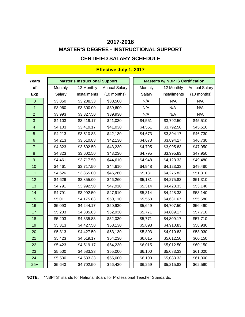# **MASTER'S DEGREE - INSTRUCTIONAL SUPPORT CERTIFIED SALARY SCHEDULE 2017-2018**

| <b>Years</b>            |         | <b>Master's Instructional Support</b> |                      |               | <b>Master's w/ NBPTS Certification</b> |                      |
|-------------------------|---------|---------------------------------------|----------------------|---------------|----------------------------------------|----------------------|
| of                      | Monthly | 12 Monthly                            | <b>Annual Salary</b> | Monthly       | 12 Monthly                             | <b>Annual Salary</b> |
| <b>Exp</b>              | Salary  | Installments                          | $(10$ months)        | <b>Salary</b> | Installments                           | $(10$ months)        |
| $\mathbf{0}$            | \$3,850 | \$3,208.33                            | \$38,500             | N/A           | N/A                                    | N/A                  |
| $\mathbf{1}$            | \$3,960 | \$3,300.00                            | \$39,600             | N/A           | N/A                                    | N/A                  |
| $\overline{2}$          | \$3,993 | \$3,327.50                            | \$39,930             | N/A           | N/A                                    | N/A                  |
| 3                       | \$4,103 | \$3,419.17                            | \$41,030             | \$4,551       | \$3,792.50                             | \$45,510             |
| $\overline{\mathbf{4}}$ | \$4,103 | \$3,419.17                            | \$41,030             | \$4,551       | \$3,792.50                             | \$45,510             |
| 5                       | \$4,213 | \$3,510.83                            | \$42,130             | \$4,673       | \$3,894.17                             | \$46,730             |
| $6\phantom{1}$          | \$4,213 | \$3,510.83                            | \$42,130             | \$4,673       | \$3,894.17                             | \$46,730             |
| $\overline{7}$          | \$4,323 | \$3,602.50                            | \$43,230             | \$4,795       | \$3,995.83                             | \$47,950             |
| $\bf 8$                 | \$4,323 | \$3,602.50                            | \$43,230             | \$4,795       | \$3,995.83                             | \$47,950             |
| $\overline{9}$          | \$4,461 | \$3,717.50                            | \$44,610             | \$4,948       | \$4,123.33                             | \$49,480             |
| 10                      | \$4,461 | \$3,717.50                            | \$44,610             | \$4,948       | \$4,123.33                             | \$49,480             |
| 11                      | \$4,626 | \$3,855.00                            | \$46,260             | \$5,131       | \$4,275.83                             | \$51,310             |
| 12                      | \$4,626 | \$3,855.00                            | \$46,260             | \$5,131       | \$4,275.83                             | \$51,310             |
| 13                      | \$4,791 | \$3,992.50                            | \$47,910             | \$5,314       | \$4,428.33                             | \$53,140             |
| 14                      | \$4,791 | \$3,992.50                            | \$47,910             | \$5,314       | \$4,428.33                             | \$53,140             |
| 15                      | \$5,011 | \$4,175.83                            | \$50,110             | \$5,558       | \$4,631.67                             | \$55,580             |
| 16                      | \$5,093 | \$4,244.17                            | \$50,930             | \$5,649       | \$4,707.50                             | \$56,490             |
| 17                      | \$5,203 | \$4,335.83                            | \$52,030             | \$5,771       | \$4,809.17                             | \$57,710             |
| 18                      | \$5,203 | \$4,335.83                            | \$52,030             | \$5,771       | \$4,809.17                             | \$57,710             |
| 19                      | \$5,313 | \$4,427.50                            | \$53,130             | \$5,893       | \$4,910.83                             | \$58,930             |
| 20                      | \$5,313 | \$4,427.50                            | \$53,130             | \$5,893       | \$4,910.83                             | \$58,930             |
| 21                      | \$5,423 | \$4,519.17                            | \$54,230             | \$6,015       | \$5,012.50                             | \$60,150             |
| 22                      | \$5,423 | \$4,519.17                            | \$54,230             | \$6,015       | \$5,012.50                             | \$60,150             |
| 23                      | \$5,500 | \$4,583.33                            | \$55,000             | \$6,100       | \$5,083.33                             | \$61,000             |
| 24                      | \$5,500 | \$4,583.33                            | \$55,000             | \$6,100       | \$5,083.33                             | \$61,000             |
| $25+$                   | \$5,643 | \$4,702.50                            | \$56,430             | \$6,259       | \$5,215.83                             | \$62,590             |

## **Effective July 1, 2017**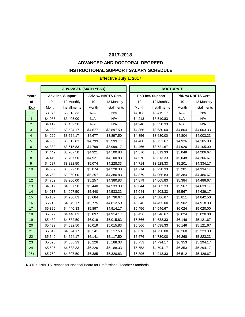## **ADVANCED AND DOCTORAL DEGREED INSTRUCTIONAL SUPPORT SALARY SCHEDULE**

#### **Effective July 1, 2017**

|                         |         | <b>ADVANCED (SIXTH YEAR)</b> |         |                     | <b>DOCTORATE</b> |                         |         |                    |  |
|-------------------------|---------|------------------------------|---------|---------------------|------------------|-------------------------|---------|--------------------|--|
| Years                   |         | Adv. Ins. Support            |         | Adv. w/ NBPTS Cert. |                  | <b>PhD Ins. Support</b> |         | PhD w/ NBPTS Cert. |  |
| of                      | 10      | 12 Monthly                   | 10      | 12 Monthly          | 10               | 12 Monthly              | 10      | 12 Monthly         |  |
| <u>Exp</u>              | Month   | Installments                 | Month   | Installments        | Month            | <b>Installments</b>     | Month   | Installments       |  |
| $\overline{0}$          | \$3,976 | \$3,313.33                   | N/A     | N/A                 | \$4,103          | \$3,419.17              | N/A     | N/A                |  |
| $\mathbf{1}$            | \$4,086 | \$3,405.00                   | N/A     | N/A                 | \$4,213          | \$3,510.83              | N/A     | N/A                |  |
| $\overline{2}$          | \$4,119 | \$3,432.50                   | N/A     | N/A                 | \$4,246          | \$3,538.33              | N/A     | N/A                |  |
| 3                       | \$4,229 | \$3,524.17                   | \$4,677 | \$3,897.50          | \$4,356          | \$3,630.00              | \$4,804 | \$4,003.33         |  |
| $\overline{\mathbf{4}}$ | \$4,229 | \$3,524.17                   | \$4,677 | \$3,897.50          | \$4,356          | \$3,630.00              | \$4,804 | \$4,003.33         |  |
| 5                       | \$4,339 | \$3,615.83                   | \$4,799 | \$3,999.17          | \$4,466          | \$3,721.67              | \$4,926 | \$4,105.00         |  |
| $\,$ 6 $\,$             | \$4,339 | \$3,615.83                   | \$4,799 | \$3,999.17          | \$4,466          | \$3,721.67              | \$4,926 | \$4,105.00         |  |
| $\overline{7}$          | \$4,449 | \$3,707.50                   | \$4,921 | \$4,100.83          | \$4,576          | \$3,813.33              | \$5,048 | \$4,206.67         |  |
| $\bf 8$                 | \$4,449 | \$3,707.50                   | \$4,921 | \$4,100.83          | \$4,576          | \$3,813.33              | \$5,048 | \$4,206.67         |  |
| $\boldsymbol{9}$        | \$4,587 | \$3,822.50                   | \$5,074 | \$4,228.33          | \$4,714          | \$3,928.33              | \$5,201 | \$4,334.17         |  |
| 10                      | \$4,587 | \$3,822.50                   | \$5,074 | \$4,228.33          | \$4,714          | \$3,928.33              | \$5,201 | \$4,334.17         |  |
| 11                      | \$4,752 | \$3,960.00                   | \$5,257 | \$4,380.83          | \$4,879          | \$4,065.83              | \$5,384 | \$4,486.67         |  |
| 12                      | \$4,752 | \$3,960.00                   | \$5,257 | \$4,380.83          | \$4,879          | \$4,065.83              | \$5,384 | \$4,486.67         |  |
| 13                      | \$4,917 | \$4,097.50                   | \$5,440 | \$4,533.33          | \$5,044          | \$4,203.33              | \$5,567 | \$4,639.17         |  |
| 14                      | \$4,917 | \$4,097.50                   | \$5,440 | \$4,533.33          | \$5,044          | \$4,203.33              | \$5,567 | \$4,639.17         |  |
| 15                      | \$5,137 | \$4,280.83                   | \$5,684 | \$4,736.67          | \$5,264          | \$4,386.67              | \$5,811 | \$4,842.50         |  |
| 16                      | \$5,219 | \$4,349.17                   | \$5,775 | \$4,812.50          | \$5,346          | \$4,455.00              | \$5,902 | \$4,918.33         |  |
| 17                      | \$5,329 | \$4,440.83                   | \$5,897 | \$4,914.17          | \$5,456          | \$4,546.67              | \$6,024 | \$5,020.00         |  |
| 18                      | \$5,329 | \$4,440.83                   | \$5,897 | \$4,914.17          | \$5,456          | \$4,546.67              | \$6,024 | \$5,020.00         |  |
| 19                      | \$5,439 | \$4,532.50                   | \$6,019 | \$5,015.83          | \$5,566          | \$4,638.33              | \$6,146 | \$5,121.67         |  |
| 20                      | \$5,439 | \$4,532.50                   | \$6,019 | \$5,015.83          | \$5,566          | \$4,638.33              | \$6,146 | \$5,121.67         |  |
| 21                      | \$5,549 | \$4,624.17                   | \$6,141 | \$5,117.50          | \$5,676          | \$4,730.00              | \$6,268 | \$5,223.33         |  |
| 22                      | \$5,549 | \$4,624.17                   | \$6,141 | \$5,117.50          | \$5,676          | \$4,730.00              | \$6,268 | \$5,223.33         |  |
| 23                      | \$5,626 | \$4,688.33                   | \$6,226 | \$5,188.33          | \$5,753          | \$4,794.17              | \$6,353 | \$5,294.17         |  |
| 24                      | \$5,626 | \$4,688.33                   | \$6,226 | \$5,188.33          | \$5,753          | \$4,794.17              | \$6,353 | \$5,294.17         |  |
| $25+$                   | \$5,769 | \$4,807.50                   | \$6,385 | \$5,320.83          | \$5,896          | \$4,913.33              | \$6,512 | \$5,426.67         |  |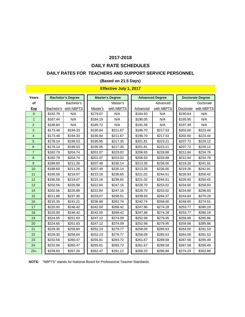#### **DAILY RATE SCHEDULES**

#### **DAILY RATES FOR TEACHERS AND SUPPORT SERVICE PERSONNEL**

#### **(Based on 21.5 Days)**

#### **Effective July 1, 2017**

| Years                   |            | <b>Bachelor's Degree</b> |          | <b>Master's Degree</b> |          | <b>Advanced Degree</b> |           | <b>Doctorate Degree</b> |
|-------------------------|------------|--------------------------|----------|------------------------|----------|------------------------|-----------|-------------------------|
| of                      |            | Bachelor's               |          | Master's               |          | Advanced               |           | Doctorate               |
| <b>Exp</b>              | Bachelor's | with NBPTS               | Master's | with NBPTS             | Advanced | with NBPTS             | Doctorate | with NBPTS              |
| $\overline{0}$          | \$162.79   | N/A                      | \$179.07 | N/A                    | \$184.93 | N/A                    | \$190.84  | N/A                     |
| $\mathbf{1}$            | \$167.44   | N/A                      | \$184.19 | N/A                    | \$190.05 | N/A                    | \$195.95  | N/A                     |
| $\overline{c}$          | \$168.84   | N/A                      | \$185.72 | N/A                    | \$191.58 | N/A                    | \$197.49  | N/A                     |
| 3                       | \$173.49   | \$194.33                 | \$190.84 | \$211.67               | \$196.70 | \$217.53               | \$202.60  | \$223.44                |
| $\overline{\mathbf{4}}$ | \$173.49   | \$194.33                 | \$190.84 | \$211.67               | \$196.70 | \$217.53               | \$202.60  | \$223.44                |
| 5                       | \$178.14   | \$199.53                 | \$195.95 | \$217.35               | \$201.81 | \$223.21               | \$207.72  | \$229.12                |
| 6                       | \$178.14   | \$199.53                 | \$195.95 | \$217.35               | \$201.81 | \$223.21               | \$207.72  | \$229.12                |
| $\overline{7}$          | \$182.79   | \$204.74                 | \$201.07 | \$223.02               | \$206.93 | \$228.88               | \$212.84  | \$234.79                |
| 8                       | \$182.79   | \$204.74                 | \$201.07 | \$223.02               | \$206.93 | \$228.88               | \$212.84  | \$234.79                |
| 9                       | \$188.60   | \$211.26                 | \$207.49 | \$230.14               | \$213.35 | \$236.00               | \$219.26  | \$241.91                |
| 10                      | \$188.60   | \$211.26                 | \$207.49 | \$230.14               | \$213.35 | \$236.00               | \$219.26  | \$241.91                |
| 11                      | \$195.58   | \$219.07                 | \$215.16 | \$238.65               | \$221.02 | \$244.51               | \$226.93  | \$250.42                |
| 12                      | \$195.58   | \$219.07                 | \$215.16 | \$238.65               | \$221.02 | \$244.51               | \$226.93  | \$250.42                |
| 13                      | \$202.56   | \$226.88                 | \$222.84 | \$247.16               | \$228.70 | \$253.02               | \$234.60  | \$258.93                |
| 14                      | \$202.56   | \$226.88                 | \$222.84 | \$247.16               | \$228.70 | \$253.02               | \$234.60  | \$258.93                |
| 15                      | \$211.86   | \$237.30                 | \$233.07 | \$258.51               | \$238.93 | \$264.37               | \$244.84  | \$270.28                |
| 16                      | \$215.35   | \$241.21                 | \$236.88 | \$262.74               | \$242.74 | \$268.60               | \$248.65  | \$274.51                |
| 17                      | \$220.00   | \$246.42                 | \$242.00 | \$268.42               | \$247.86 | \$274.28               | \$253.77  | \$280.19                |
| 18                      | \$220.00   | \$246.42                 | \$242.00 | \$268.42               | \$247.86 | \$274.28               | \$253.77  | \$280.19                |
| 19                      | \$224.65   | \$251.63                 | \$247.12 | \$274.09               | \$252.98 | \$279.95               | \$258.88  | \$285.86                |
| 20                      | \$224.65   | \$251.63                 | \$247.12 | \$274.09               | \$252.98 | \$279.95               | \$258.88  | \$285.86                |
| 21                      | \$229.30   | \$256.84                 | \$252.23 | \$279.77               | \$258.09 | \$285.63               | \$264.00  | \$291.53                |
| 22                      | \$229.30   | \$256.84                 | \$252.23 | \$279.77               | \$258.09 | \$285.63               | \$264.00  | \$291.53                |
| 23                      | \$232.56   | \$260.47                 | \$255.81 | \$283.72               | \$261.67 | \$289.58               | \$267.58  | \$295.49                |
| 24                      | \$232.56   | \$260.47                 | \$255.81 | \$283.72               | \$261.67 | \$289.58               | \$267.58  | \$295.49                |
| $25+$                   | \$238.60   | \$267.26                 | \$262.47 | \$291.12               | \$268.33 | \$296.98               | \$274.23  | \$302.88                |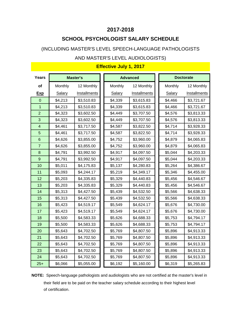## **SCHOOL PSYCHOLOGIST SALARY SCHEDULE**

#### (INCLUDING MASTER'S LEVEL SPEECH-LANGUAGE PATHOLOGISTS

#### AND MASTER'S LEVEL AUDIOLOGISTS)

| <b>Years</b>            |               | <b>Master's</b> |               | <b>Advanced</b> |               | <b>Doctorate</b>    |
|-------------------------|---------------|-----------------|---------------|-----------------|---------------|---------------------|
| of                      | Monthly       | 12 Monthly      | Monthly       | 12 Monthly      | Monthly       | 12 Monthly          |
| <b>Exp</b>              | <b>Salary</b> | Installments    | <b>Salary</b> | Installments    | <b>Salary</b> | <b>Installments</b> |
| $\mathbf 0$             | \$4,213       | \$3,510.83      | \$4,339       | \$3,615.83      | \$4,466       | \$3,721.67          |
| 1                       | \$4,213       | \$3,510.83      | \$4,339       | \$3,615.83      | \$4,466       | \$3,721.67          |
| $\overline{2}$          | \$4,323       | \$3,602.50      | \$4,449       | \$3,707.50      | \$4,576       | \$3,813.33          |
| 3                       | \$4,323       | \$3,602.50      | \$4,449       | \$3,707.50      | \$4,576       | \$3,813.33          |
| $\overline{\mathbf{4}}$ | \$4,461       | \$3,717.50      | \$4,587       | \$3,822.50      | \$4,714       | \$3,928.33          |
| 5                       | \$4,461       | \$3,717.50      | \$4,587       | \$3,822.50      | \$4,714       | \$3,928.33          |
| $6\phantom{1}$          | \$4,626       | \$3,855.00      | \$4,752       | \$3,960.00      | \$4,879       | \$4,065.83          |
| $\overline{7}$          | \$4,626       | \$3,855.00      | \$4,752       | \$3,960.00      | \$4,879       | \$4,065.83          |
| 8                       | \$4,791       | \$3,992.50      | \$4,917       | \$4,097.50      | \$5,044       | \$4,203.33          |
| 9                       | \$4,791       | \$3,992.50      | \$4,917       | \$4,097.50      | \$5,044       | \$4,203.33          |
| 10                      | \$5,011       | \$4,175.83      | \$5,137       | \$4,280.83      | \$5,264       | \$4,386.67          |
| 11                      | \$5,093       | \$4,244.17      | \$5,219       | \$4,349.17      | \$5,346       | \$4,455.00          |
| 12                      | \$5,203       | \$4,335.83      | \$5,329       | \$4,440.83      | \$5,456       | \$4,546.67          |
| 13                      | \$5,203       | \$4,335.83      | \$5,329       | \$4,440.83      | \$5,456       | \$4,546.67          |
| 14                      | \$5,313       | \$4,427.50      | \$5,439       | \$4,532.50      | \$5,566       | \$4,638.33          |
| 15                      | \$5,313       | \$4,427.50      | \$5,439       | \$4,532.50      | \$5,566       | \$4,638.33          |
| 16                      | \$5,423       | \$4,519.17      | \$5,549       | \$4,624.17      | \$5,676       | \$4,730.00          |
| 17                      | \$5,423       | \$4,519.17      | \$5,549       | \$4,624.17      | \$5,676       | \$4,730.00          |
| 18                      | \$5,500       | \$4,583.33      | \$5,626       | \$4,688.33      | \$5,753       | \$4,794.17          |
| 19                      | \$5,500       | \$4,583.33      | \$5,626       | \$4,688.33      | \$5,753       | \$4,794.17          |
| 20                      | \$5,643       | \$4,702.50      | \$5,769       | \$4,807.50      | \$5,896       | \$4,913.33          |
| 21                      | \$5,643       | \$4,702.50      | \$5,769       | \$4,807.50      | \$5,896       | \$4,913.33          |
| 22                      | \$5,643       | \$4,702.50      | \$5,769       | \$4,807.50      | \$5,896       | \$4,913.33          |
| 23                      | \$5,643       | \$4,702.50      | \$5,769       | \$4,807.50      | \$5,896       | \$4,913.33          |
| 24                      | \$5,643       | \$4,702.50      | \$5,769       | \$4,807.50      | \$5,896       | \$4,913.33          |
| $25+$                   | \$6,066       | \$5,055.00      | \$6,192       | \$5,160.00      | \$6,319       | \$5,265.83          |

#### **Effective July 1, 2017**

**NOTE:** Speech-language pathologists and audiologists who are not certified at the master's level in their field are to be paid on the teacher salary schedule according to their highest level of certification.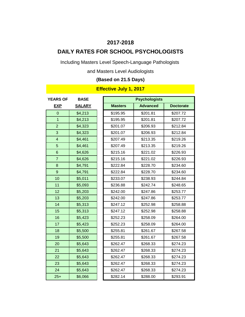# **DAILY RATES FOR SCHOOL PSYCHOLOGISTS**

Including Masters Level Speech-Language Pathologists

and Masters Level Audiologists

## **(Based on 21.5 Days)**

## **Effective July 1, 2017**

| <b>YEARS OF</b>         | <b>BASE</b>   |                | <b>Psychologists</b> |                  |
|-------------------------|---------------|----------------|----------------------|------------------|
| <b>EXP</b>              | <b>SALARY</b> | <b>Masters</b> | <b>Advanced</b>      | <b>Doctorate</b> |
| $\overline{0}$          | \$4,213       | \$195.95       | \$201.81             | \$207.72         |
| $\overline{1}$          | \$4,213       | \$195.95       | \$201.81             | \$207.72         |
| $\overline{2}$          | \$4,323       | \$201.07       | \$206.93             | \$212.84         |
| 3                       | \$4,323       | \$201.07       | \$206.93             | \$212.84         |
| $\overline{\mathbf{4}}$ | \$4,461       | \$207.49       | \$213.35             | \$219.26         |
| 5                       | \$4,461       | \$207.49       | \$213.35             | \$219.26         |
| $6\phantom{1}6$         | \$4,626       | \$215.16       | \$221.02             | \$226.93         |
| $\overline{7}$          | \$4,626       | \$215.16       | \$221.02             | \$226.93         |
| 8                       | \$4,791       | \$222.84       | \$228.70             | \$234.60         |
| 9                       | \$4,791       | \$222.84       | \$228.70             | \$234.60         |
| 10                      | \$5,011       | \$233.07       | \$238.93             | \$244.84         |
| 11                      | \$5,093       | \$236.88       | \$242.74             | \$248.65         |
| 12                      | \$5,203       | \$242.00       | \$247.86             | \$253.77         |
| 13                      | \$5,203       | \$242.00       | \$247.86             | \$253.77         |
| 14                      | \$5,313       | \$247.12       | \$252.98             | \$258.88         |
| 15                      | \$5,313       | \$247.12       | \$252.98             | \$258.88         |
| 16                      | \$5,423       | \$252.23       | \$258.09             | \$264.00         |
| 17                      | \$5,423       | \$252.23       | \$258.09             | \$264.00         |
| 18                      | \$5,500       | \$255.81       | \$261.67             | \$267.58         |
| 19                      | \$5,500       | \$255.81       | \$261.67             | \$267.58         |
| 20                      | \$5,643       | \$262.47       | \$268.33             | \$274.23         |
| 21                      | \$5,643       | \$262.47       | \$268.33             | \$274.23         |
| 22                      | \$5,643       | \$262.47       | \$268.33             | \$274.23         |
| 23                      | \$5,643       | \$262.47       | \$268.33             | \$274.23         |
| 24                      | \$5,643       | \$262.47       | \$268.33             | \$274.23         |
| $25+$                   | \$6,066       | \$282.14       | \$288.00             | \$293.91         |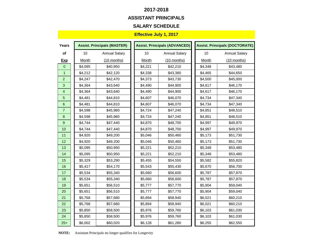## **ASSISTANT PRINCIPALS**

### **SALARY SCHEDULE**

#### **Effective July 1, 2017**

| Years            |              | <b>Assist. Principals (MASTER)</b> |              | <b>Assist. Principals (ADVANCED)</b> |              | <b>Assist. Principals (DOCTORATE)</b> |
|------------------|--------------|------------------------------------|--------------|--------------------------------------|--------------|---------------------------------------|
| of               | 10           | <b>Annual Salary</b>               | 10           | <b>Annual Salary</b>                 | 10           | <b>Annual Salary</b>                  |
| Exp              | <b>Month</b> | $(10$ months)                      | <b>Month</b> | $(10$ months)                        | <b>Month</b> | $(10$ months)                         |
| $\mathbf 0$      | \$4,095      | \$40,950                           | \$4,221      | \$42,210                             | \$4,348      | \$43,480                              |
| $\mathbf{1}$     | \$4,212      | \$42,120                           | \$4,338      | \$43,380                             | \$4,465      | \$44,650                              |
| $\overline{2}$   | \$4,247      | \$42,470                           | \$4,373      | \$43,730                             | \$4,500      | \$45,000                              |
| $\sqrt{3}$       | \$4,364      | \$43,640                           | \$4,490      | \$44,900                             | \$4,617      | \$46,170                              |
| $\overline{4}$   | \$4,364      | \$43,640                           | \$4,490      | \$44,900                             | \$4,617      | \$46,170                              |
| $\overline{5}$   | \$4,481      | \$44,810                           | \$4,607      | \$46,070                             | \$4,734      | \$47,340                              |
| $6\phantom{1}$   | \$4,481      | \$44,810                           | \$4,607      | \$46,070                             | \$4,734      | \$47,340                              |
| $\overline{7}$   | \$4,598      | \$45,980                           | \$4,724      | \$47,240                             | \$4,851      | \$48,510                              |
| $\bf 8$          | \$4,598      | \$45,980                           | \$4,724      | \$47,240                             | \$4,851      | \$48,510                              |
| $\boldsymbol{9}$ | \$4,744      | \$47,440                           | \$4,870      | \$48,700                             | \$4,997      | \$49,970                              |
| 10               | \$4,744      | \$47,440                           | \$4,870      | \$48,700                             | \$4,997      | \$49,970                              |
| 11               | \$4,920      | \$49,200                           | \$5,046      | \$50,460                             | \$5,173      | \$51,730                              |
| 12               | \$4,920      | \$49,200                           | \$5,046      | \$50,460                             | \$5,173      | \$51,730                              |
| 13               | \$5,095      | \$50,950                           | \$5,221      | \$52,210                             | \$5,348      | \$53,480                              |
| 14               | \$5,095      | \$50,950                           | \$5,221      | \$52,210                             | \$5,348      | \$53,480                              |
| 15               | \$5,329      | \$53,290                           | \$5,455      | \$54,550                             | \$5,582      | \$55,820                              |
| 16               | \$5,417      | \$54,170                           | \$5,543      | \$55,430                             | \$5,670      | \$56,700                              |
| 17               | \$5,534      | \$55,340                           | \$5,660      | \$56,600                             | \$5,787      | \$57,870                              |
| 18               | \$5,534      | \$55,340                           | \$5,660      | \$56,600                             | \$5,787      | \$57,870                              |
| 19               | \$5,651      | \$56,510                           | \$5,777      | \$57,770                             | \$5,904      | \$59,040                              |
| 20               | \$5,651      | \$56,510                           | \$5,777      | \$57,770                             | \$5,904      | \$59,040                              |
| 21               | \$5,768      | \$57,680                           | \$5,894      | \$58,940                             | \$6,021      | \$60,210                              |
| 22               | \$5,768      | \$57,680                           | \$5,894      | \$58,940                             | \$6,021      | \$60,210                              |
| 23               | \$5,850      | \$58,500                           | \$5,976      | \$59,760                             | \$6,103      | \$61,030                              |
| 24               | \$5,850      | \$58,500                           | \$5,976      | \$59,760                             | \$6,103      | \$61,030                              |
| $25+$            | \$6,002      | \$60,020                           | \$6,128      | \$61,280                             | \$6,255      | \$62,550                              |

**NOTE:** Assistant Principals no longer qualifies for Longevity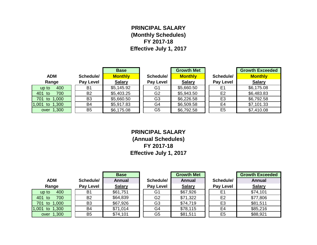## **PRINCIPAL SALARY (Monthly Schedules) FY 2017-18 Effective July 1, 2017**

|                   |                | <b>Base</b>    |                | <b>Growth Met</b> |                  | <b>Growth Exceeded</b> |
|-------------------|----------------|----------------|----------------|-------------------|------------------|------------------------|
| <b>ADM</b>        | Schedule/      | <b>Monthly</b> | Schedule/      | <b>Monthly</b>    | Schedule/        | <b>Monthly</b>         |
| Range             | Pay Level      | <b>Salary</b>  | Pay Level      | <b>Salary</b>     | <b>Pay Level</b> | <b>Salary</b>          |
| 400<br>up to      | B1             | \$5,145.92     | G <sub>1</sub> | \$5,660.50        | E1               | \$6,175.08             |
| 700<br>401<br>to  | <b>B2</b>      | \$5,403.25     | G <sub>2</sub> | \$5,943.50        | E <sub>2</sub>   | \$6,483.83             |
| to 1,000<br>701   | B <sub>3</sub> | \$5,660.50     | G <sub>3</sub> | \$6,226.58        | E <sub>3</sub>   | \$6,792.58             |
| to 1,300<br>1,001 | <b>B4</b>      | \$5,917.83     | G4             | \$6,509.58        | E <sub>4</sub>   | \$7,101.33             |
| over 1,300        | B <sub>5</sub> | \$6,175.08     | G <sub>5</sub> | \$6,792.58        | E <sub>5</sub>   | \$7,410.08             |

**PRINCIPAL SALARY (Annual Schedules) FY 2017-18 Effective July 1, 2017**

|                   |                | <b>Base</b>   |                  | <b>Growth Met</b> |                | <b>Growth Exceeded</b> |
|-------------------|----------------|---------------|------------------|-------------------|----------------|------------------------|
| <b>ADM</b>        | Schedule/      | <b>Annual</b> | Schedule/        | <b>Annual</b>     | Schedule/      | <b>Annual</b>          |
| Range             | Pay Level      | <b>Salary</b> | <b>Pay Level</b> | <b>Salary</b>     | Pay Level      | <b>Salary</b>          |
| 400<br>up to      | B <sub>1</sub> | \$61,751      | G1               | \$67,926          | E1             | \$74,101               |
| 401<br>700<br>to  | <b>B2</b>      | \$64,839      | G <sub>2</sub>   | \$71,322          | E <sub>2</sub> | \$77,806               |
| to 1,000<br>701   | B <sub>3</sub> | \$67,926      | G <sub>3</sub>   | \$74,719          | E <sub>3</sub> | \$81,511               |
| 1,001<br>to 1,300 | <b>B4</b>      | \$71,014      | G4               | \$78,115          | E4             | \$85,216               |
| over 1,300        | B <sub>5</sub> | \$74,101      | G <sub>5</sub>   | \$81,511          | E <sub>5</sub> | \$88,921               |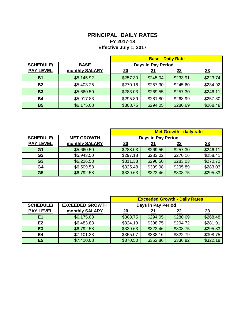## **PRINCIPAL DAILY RATES FY 2017-18 Effective July 1, 2017**

|                  |                | <b>Base - Daily Rate</b> |                    |          |          |  |  |
|------------------|----------------|--------------------------|--------------------|----------|----------|--|--|
| <b>SCHEDULE/</b> | <b>BASE</b>    |                          | Days in Pay Period |          |          |  |  |
| <b>PAY LEVEL</b> | monthly SALARY | <u>20</u>                | 23                 |          |          |  |  |
| <b>B1</b>        | \$5,145.92     | \$257.30                 | \$245.04           | \$233.91 | \$223.74 |  |  |
| <b>B2</b>        | \$5,403.25     | \$270.16                 | \$257.30           | \$245.60 | \$234.92 |  |  |
| <b>B3</b>        | \$5,660.50     | \$283.03                 | \$269.55           | \$257.30 | \$246.11 |  |  |
| <b>B4</b>        | \$5,917.83     | \$295.89                 | \$281.80           | \$268.99 | \$257.30 |  |  |
| <b>B5</b>        | \$6,175.08     | \$308.75                 | \$294.05           | \$280.69 | \$268.48 |  |  |

|                  |                   |                    |          | <b>Met Growth - daily rate</b> |          |
|------------------|-------------------|--------------------|----------|--------------------------------|----------|
| <b>SCHEDULE/</b> | <b>MET GROWTH</b> | Days in Pay Period |          |                                |          |
| <b>PAY LEVEL</b> | monthly SALARY    | 20                 | 21       | <u>22</u>                      | 23       |
| G <sub>1</sub>   | \$5,660.50        | \$283.03           | \$269.55 | \$257.30                       | \$246.11 |
| G <sub>2</sub>   | \$5,943.50        | \$297.18           | \$283.02 | \$270.16                       | \$258.41 |
| G <sub>3</sub>   | \$6,226.58        | \$311.33           | \$296.50 | \$283.03                       | \$270.72 |
| G4               | \$6,509.58        | \$325.48           | \$309.98 | \$295.89                       | \$283.03 |
| G <sub>5</sub>   | \$6,792.58        | \$339.63           | \$323.46 | \$308.75                       | \$295.33 |

|                  |                        | <b>Exceeded Growth - Daily Rates</b> |                    |           |           |
|------------------|------------------------|--------------------------------------|--------------------|-----------|-----------|
| <b>SCHEDULE/</b> | <b>EXCEEDED GROWTH</b> |                                      | Days in Pay Period |           |           |
| <b>PAY LEVEL</b> | monthly SALARY         | <u>20</u>                            |                    | <u>22</u> | <u>23</u> |
| E <sub>1</sub>   | \$6,175.08             | \$308.75                             | \$294.05           | \$280.69  | \$268.48  |
| E <sub>2</sub>   | \$6,483.83             | \$324.19                             | \$308.75           | \$294.72  | \$281.91  |
| E <sub>3</sub>   | \$6,792.58             | \$339.63                             | \$323.46           | \$308.75  | \$295.33  |
| E4               | \$7,101.33             | \$355.07                             | \$338.16           | \$322.79  | \$308.75  |
| E <sub>5</sub>   | \$7,410.08             | \$370.50                             | \$352.86           | \$336.82  | \$322.18  |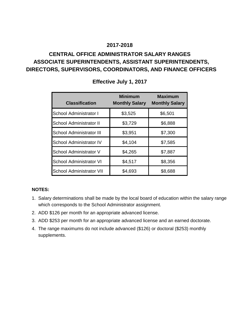# **CENTRAL OFFICE ADMINISTRATOR SALARY RANGES ASSOCIATE SUPERINTENDENTS, ASSISTANT SUPERINTENDENTS, DIRECTORS, SUPERVISORS, COORDINATORS, AND FINANCE OFFICERS**

| <b>Classification</b>           | <b>Minimum</b><br><b>Monthly Salary</b> | <b>Maximum</b><br><b>Monthly Salary</b> |
|---------------------------------|-----------------------------------------|-----------------------------------------|
| School Administrator I          | \$3,525                                 | \$6,501                                 |
| School Administrator II         | \$3,729                                 | \$6,888                                 |
| <b>School Administrator III</b> | \$3,951                                 | \$7,300                                 |
| <b>School Administrator IV</b>  | \$4,104                                 | \$7,585                                 |
| School Administrator V          | \$4,265                                 | \$7,887                                 |
| <b>School Administrator VI</b>  | \$4,517                                 | \$8,356                                 |
| <b>School Administrator VII</b> | \$4,693                                 | \$8,688                                 |

## **Effective July 1, 2017**

#### **NOTES:**

- 1. Salary determinations shall be made by the local board of education within the salary range which corresponds to the School Administrator assignment.
- 2. ADD \$126 per month for an appropriate advanced license.
- 3. ADD \$253 per month for an appropriate advanced license and an earned doctorate.
- 4. The range maximums do not include advanced (\$126) or doctoral (\$253) monthly supplements.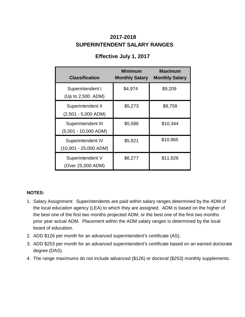# **SUPERINTENDENT SALARY RANGES 2017-2018**

| <b>Classification</b>                        | <b>Minimum</b><br><b>Monthly Salary</b> | <b>Maximum</b><br><b>Monthly Salary</b> |
|----------------------------------------------|-----------------------------------------|-----------------------------------------|
| Superintendent I<br>(Up to 2,500 ADM)        | \$4,974                                 | \$9,209                                 |
| Superintendent II<br>$(2,501 - 5,000$ ADM)   | \$5,273                                 | \$9,758                                 |
| Superintendent III<br>$(5,001 - 10,000$ ADM) | \$5,586                                 | \$10,344                                |
| Superintendent IV<br>$(10,001 - 25,000$ ADM) | \$5,921                                 | \$10,965                                |
| Superintendent V<br>(Over 25,000 ADM)        | \$6,277                                 | \$11,626                                |

## **Effective July 1, 2017**

#### **NOTES:**

- 1. Salary Assignment: Superintendents are paid within salary ranges determined by the ADM of the local education agency (LEA) to which they are assigned. ADM is based on the higher of the best one of the first two months projected ADM, or the best one of the first two months prior year actual ADM. Placement within the ADM salary ranges is determined by the local board of education.
- 2. ADD \$126 per month for an advanced superintendent's certificate (AS).
- 3. ADD \$253 per month for an advanced superintendent's certificate based on an earned doctorate degree (DAS).
- 4. The range maximums do not include advanced (\$126) or doctoral (\$253) monthly supplements.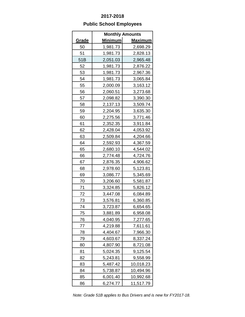## **Public School Employees**

|              | <b>Monthly Amounts</b> |                |
|--------------|------------------------|----------------|
| <u>Grade</u> | <u>Minimum</u>         | <u>Maximum</u> |
| 50           | 1,981.73               | 2,698.29       |
| 51           | 1,981.73               | 2,828.13       |
| 51B          | 2,051.03               | 2,965.48       |
| 52           | 1,981.73               | 2,876.22       |
| 53           | 1,981.73               | 2,967.36       |
| 54           | 1,981.73               | 3,065.84       |
| 55           | 2,000.09               | 3,163.12       |
| 56           | 2,060.51               | 3,273.68       |
| 57           | 2,098.82               | 3,390.30       |
| 58           | 2,137.13               | 3,509.74       |
| 59           | 2,204.95               | 3,635.30       |
| 60           | 2,275.56               | 3,771.46       |
| 61           | 2,352.35               | 3,911.84       |
| 62           | 2,428.04               | 4,053.92       |
| 63           | 2,509.84               | 4,204.66       |
| 64           | 2,592.93               | 4,367.59       |
| 65           | 2,680.10               | 4,544.02       |
| 66           | 2,774.48               | 4,724.76       |
| 67           | 2,876.35               | 4,906.62       |
| 68           | 2,978.60               | 5,123.81       |
| 69           | 3,086.77               | 5,345.69       |
| 70           | 3,206.60               | 5,581.87       |
| 71           | 3,324.85               | 5,826.12       |
| 72           | 3,447.08               | 6,084.89       |
| 73           | 3,576.81               | 6,360.85       |
| 74           | 3,723.87               | 6,654.65       |
| 75           | 3,881.89               | 6,958.08       |
| 76           | 4,040.95               | 7,277.65       |
| 77           | 4,219.88               | 7,611.61       |
| 78           | 4,404.67               | 7,966.30       |
| 79           | 4,603.67               | 8,337.24       |
| 80           | 4,807.90               | 8,721.08       |
| 81           | 5,024.35               | 9,125.54       |
| 82           | 5,243.81               | 9,558.99       |
| 83           | 5,487.42               | 10,018.23      |
| 84           | 5,738.87               | 10,494.96      |
| 85           | 6,001.40               | 10,992.68      |
| 86           | 6,274.77               | 11,517.79      |

*Note: Grade 51B applies to Bus Drivers and is new for FY2017-18.*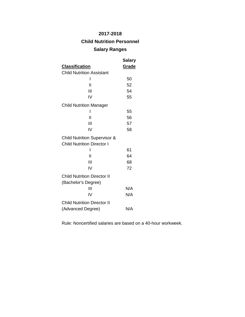## **Child Nutrition Personnel**

### **Salary Ranges**

|                                                                              | Salary |
|------------------------------------------------------------------------------|--------|
| <u>Classification</u>                                                        | Grade  |
| <b>Child Nutrition Assistant</b>                                             |        |
| I                                                                            | 50     |
| Н                                                                            | 52     |
| Ш                                                                            | 54     |
| IV                                                                           | 55     |
| <b>Child Nutrition Manager</b>                                               |        |
| ı                                                                            | 55     |
| Ш                                                                            | 56     |
| Ш                                                                            | 57     |
| IV                                                                           | 58     |
| <b>Child Nutrition Supervisor &amp;</b><br><b>Child Nutrition Director I</b> |        |
| ı                                                                            | 61     |
| Ш                                                                            | 64     |
| Ш                                                                            | 68     |
| IV                                                                           | 72     |
| <b>Child Nutrition Director II</b><br>(Bachelor's Degree)                    |        |
| Ш                                                                            | N/A    |
| IV                                                                           | N/A    |
| <b>Child Nutrition Director II</b>                                           |        |
| (Advanced Degree)                                                            | N/A    |

Rule: Noncertified salaries are based on a 40-hour workweek.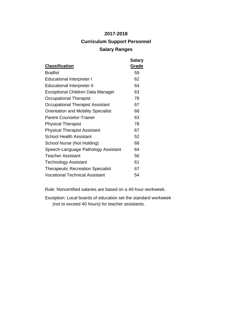# **2017-2018 Curriculum Support Personnel Salary Ranges**

| <b>Classification</b>                      | <b>Salary</b><br>Grade |
|--------------------------------------------|------------------------|
| <b>Braillist</b>                           | 59                     |
| <b>Educational Interpreter I</b>           | 62                     |
| <b>Educational Interpreter II</b>          | 64                     |
| Exceptional Children Data Manager          | 63                     |
| Occupational Therapist                     | 78                     |
| Occupational Therapist Assistant           | 67                     |
| <b>Orientation and Mobility Specialist</b> | 68                     |
| <b>Parent Counselor-Trainer</b>            | 63                     |
| <b>Physical Therapist</b>                  | 78                     |
| <b>Physical Therapist Assistant</b>        | 67                     |
| School Health Assistant                    | 52                     |
| School Nurse (Not Holding)                 | 68                     |
| Speech-Language Pathology Assistant        | 64                     |
| <b>Teacher Assistant</b>                   | 56                     |
| Technology Assistant                       | 61                     |
| <b>Therapeutic Recreation Specialist</b>   | 67                     |
| <b>Vocational Technical Assistant</b>      | 54                     |

Rule: Noncertified salaries are based on a 40-hour workweek.

Exception: Local boards of education set the standard workweek (not to exceed 40 hours) for teacher assistants.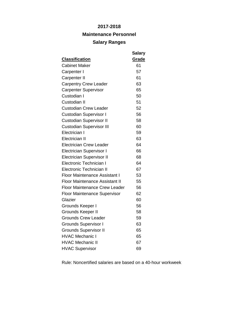## **Maintenance Personnel**

#### **Salary Ranges**

|                                       | <b>Salary</b> |
|---------------------------------------|---------------|
| <b>Classification</b>                 | Grade         |
| <b>Cabinet Maker</b>                  | 61            |
| Carpenter I                           | 57            |
| Carpenter II                          | 61            |
| <b>Carpentry Crew Leader</b>          | 63            |
| <b>Carpenter Supervisor</b>           | 65            |
| Custodian I                           | 50            |
| Custodian II                          | 51            |
| <b>Custodian Crew Leader</b>          | 52            |
| <b>Custodian Supervisor I</b>         | 56            |
| <b>Custodian Supervisor II</b>        | 58            |
| <b>Custodian Supervisor III</b>       | 60            |
| Electrician I                         | 59            |
| <b>Electrician II</b>                 | 63            |
| <b>Electrician Crew Leader</b>        | 64            |
| <b>Electrician Supervisor I</b>       | 66            |
| <b>Electrician Supervisor II</b>      | 68            |
| Electronic Technician I               | 64            |
| <b>Electronic Technician II</b>       | 67            |
| <b>Floor Maintenance Assistant I</b>  | 53            |
| <b>Floor Maintenance Assistant II</b> | 55            |
| <b>Floor Maintenance Crew Leader</b>  | 56            |
| <b>Floor Maintenance Supervisor</b>   | 62            |
| Glazier                               | 60            |
| Grounds Keeper I                      | 56            |
| <b>Grounds Keeper II</b>              | 58            |
| <b>Grounds Crew Leader</b>            | 59            |
| <b>Grounds Supervisor I</b>           | 63            |
| <b>Grounds Supervisor II</b>          | 65            |
| <b>HVAC Mechanic I</b>                | 65            |
| <b>HVAC Mechanic II</b>               | 67            |
| <b>HVAC Supervisor</b>                | 69            |

Rule: Noncertified salaries are based on a 40-hour workweek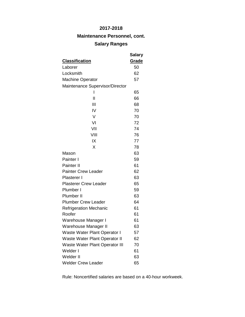## **Maintenance Personnel, cont.**

# **Salary Ranges**

|                                       | <b>Salary</b> |
|---------------------------------------|---------------|
| <b>Classification</b>                 | Grade         |
| Laborer                               | 50            |
| Locksmith                             | 62            |
| <b>Machine Operator</b>               | 57            |
| Maintenance Supervisor/Director       |               |
| I                                     | 65            |
| $\mathsf{I}$                          | 66            |
| Ш                                     | 68            |
| IV                                    | 70            |
| V                                     | 70            |
| VI                                    | 72            |
| VII                                   | 74            |
| VIII                                  | 76            |
| IX                                    | 77            |
| X                                     | 78            |
| Mason                                 | 63            |
| Painter I                             | 59            |
| Painter II                            | 61            |
| <b>Painter Crew Leader</b>            | 62            |
| Plasterer I                           | 63            |
| <b>Plasterer Crew Leader</b>          | 65            |
| Plumber I                             | 59            |
| Plumber II                            | 63            |
| <b>Plumber Crew Leader</b>            | 64            |
| <b>Refrigeration Mechanic</b>         | 61            |
| Roofer                                | 61            |
| Warehouse Manager I                   | 61            |
| Warehouse Manager II                  | 63            |
| Waste Water Plant Operator I          | 57            |
| <b>Waste Water Plant Operator II</b>  | 62            |
| <b>Waste Water Plant Operator III</b> | 70            |
| Welder I                              | 61            |
| Welder II                             | 63            |
| <b>Welder Crew Leader</b>             | 65            |

Rule: Noncertified salaries are based on a 40-hour workweek.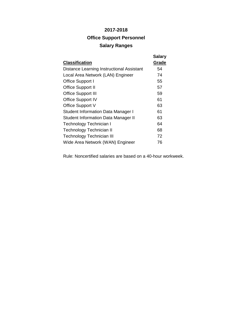# **2017-2018 Office Support Personnel Salary Ranges**

| <b>Classification</b>                            | <b>Salary</b><br>Grade |
|--------------------------------------------------|------------------------|
|                                                  |                        |
| <b>Distance Learning Instructional Assistant</b> | 54                     |
| Local Area Network (LAN) Engineer                | 74                     |
| Office Support I                                 | 55                     |
| <b>Office Support II</b>                         | 57                     |
| <b>Office Support III</b>                        | 59                     |
| <b>Office Support IV</b>                         | 61                     |
| Office Support V                                 | 63                     |
| <b>Student Information Data Manager I</b>        | 61                     |
| <b>Student Information Data Manager II</b>       | 63                     |
| Technology Technician I                          | 64                     |
| Technology Technician II                         | 68                     |
| <b>Technology Technician III</b>                 | 72                     |
| Wide Area Network (WAN) Engineer                 | 76                     |

Rule: Noncertified salaries are based on a 40-hour workweek.